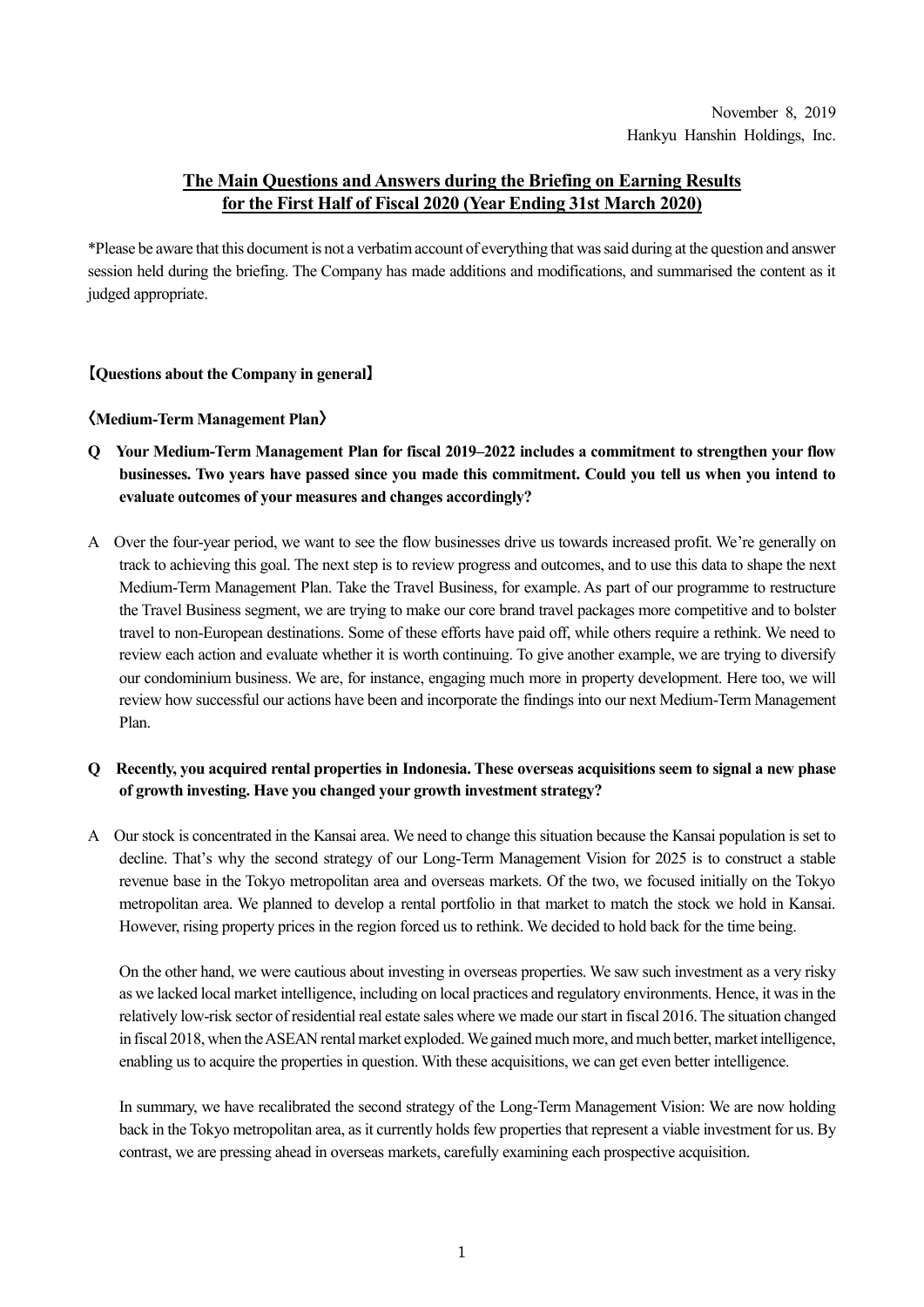# **The Main Questions and Answers during the Briefing on Earning Results for the First Half of Fiscal 2020 (Year Ending 31st March 2020)**

\*Please be aware that this document is not a verbatim account of everything that was said during at the question and answer session held during the briefing. The Company has made additions and modifications, and summarised the content as it judged appropriate.

# **【Questions about the Company in general】**

### **〈Medium-Term Management Plan〉**

- **Q Your Medium-Term Management Plan for fiscal 2019–2022 includes a commitment to strengthen your flow businesses. Two years have passed since you made this commitment. Could you tell us when you intend to evaluate outcomes of your measures and changes accordingly?**
- A Over the four-year period, we want to see the flow businesses drive us towards increased profit. We're generally on track to achieving this goal. The next step is to review progress and outcomes, and to use this data to shape the next Medium-Term Management Plan. Take the Travel Business, for example. As part of our programme to restructure the Travel Business segment, we are trying to make our core brand travel packages more competitive and to bolster travel to non-European destinations. Some of these efforts have paid off, while others require a rethink. We need to review each action and evaluate whether it is worth continuing. To give another example, we are trying to diversify our condominium business. We are, for instance, engaging much more in property development. Here too, we will review how successful our actions have been and incorporate the findings into our next Medium-Term Management Plan.

# **Q Recently, you acquired rental properties in Indonesia. These overseas acquisitions seem to signal a new phase of growth investing. Have you changed your growth investment strategy?**

A Our stock is concentrated in the Kansai area. We need to change this situation because the Kansai population is set to decline. That's why the second strategy of our Long-Term Management Vision for 2025 is to construct a stable revenue base in the Tokyo metropolitan area and overseas markets. Of the two, we focused initially on the Tokyo metropolitan area. We planned to develop a rental portfolio in that market to match the stock we hold in Kansai. However, rising property prices in the region forced us to rethink. We decided to hold back for the time being.

On the other hand, we were cautious about investing in overseas properties. We saw such investment as a very risky as we lacked local market intelligence, including on local practices and regulatory environments. Hence, it was in the relatively low-risk sector of residential real estate sales where we made our start in fiscal 2016. The situation changed in fiscal 2018, when the ASEAN rental market exploded. We gained much more, and much better, market intelligence, enabling us to acquire the properties in question. With these acquisitions, we can get even better intelligence.

In summary, we have recalibrated the second strategy of the Long-Term Management Vision: We are now holding back in the Tokyo metropolitan area, as it currently holds few properties that represent a viable investment for us. By contrast, we are pressing ahead in overseas markets, carefully examining each prospective acquisition.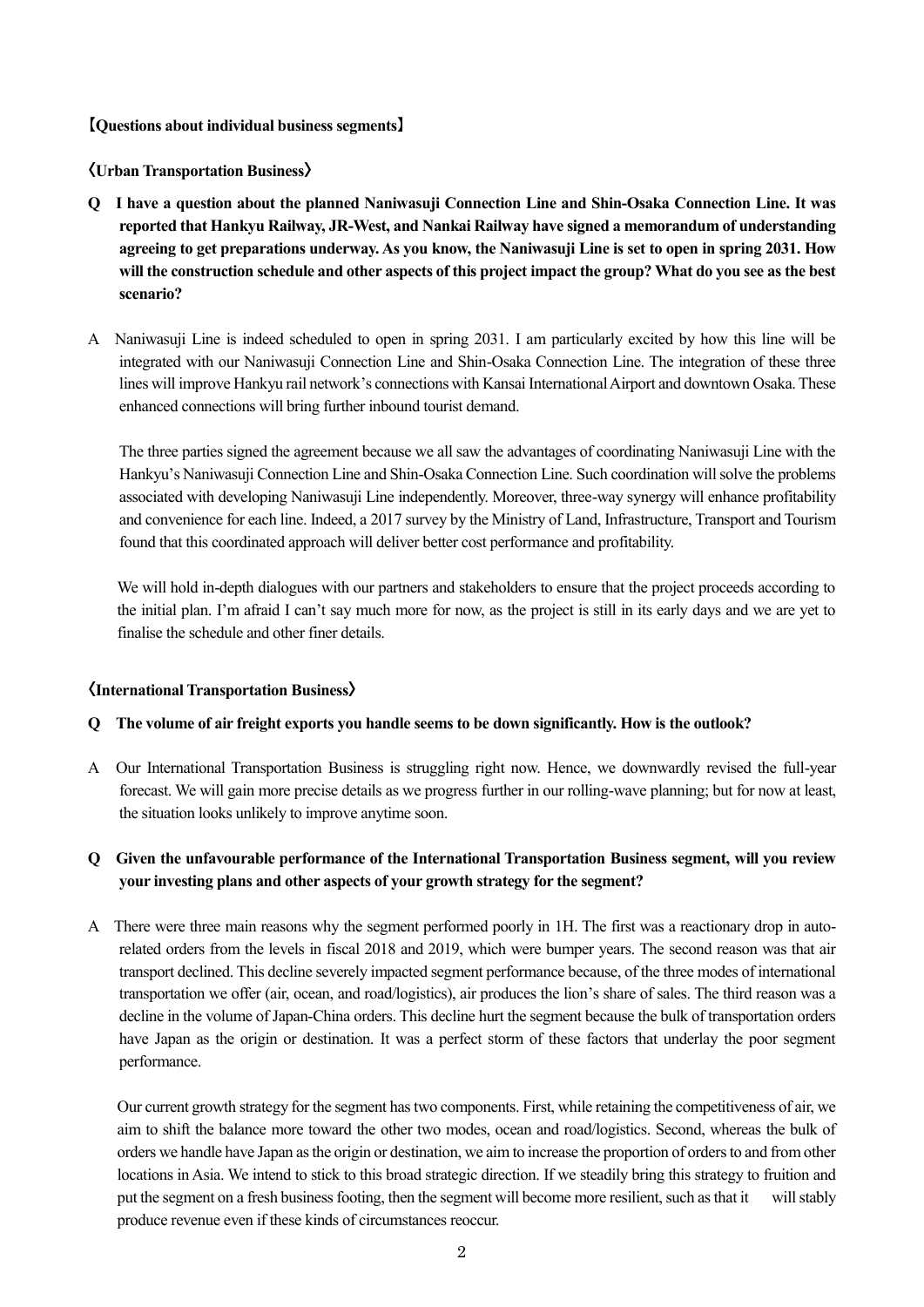### **【Questions about individual business segments】**

**〈Urban Transportation Business〉**

- **Q I have a question about the planned Naniwasuji Connection Line and Shin-Osaka Connection Line. It was reported that Hankyu Railway, JR-West, and Nankai Railway have signed a memorandum of understanding agreeing to get preparations underway. As you know, the Naniwasuji Line is set to open in spring 2031. How will the construction schedule and other aspects of this project impact the group? What do you see as the best scenario?**
- A Naniwasuji Line is indeed scheduled to open in spring 2031. I am particularly excited by how this line will be integrated with our Naniwasuji Connection Line and Shin-Osaka Connection Line. The integration of these three lines will improve Hankyu rail network's connections with Kansai International Airport and downtown Osaka. These enhanced connections will bring further inbound tourist demand.

The three parties signed the agreement because we all saw the advantages of coordinating Naniwasuji Line with the Hankyu's Naniwasuji Connection Line and Shin-Osaka Connection Line. Such coordination will solve the problems associated with developing Naniwasuji Line independently. Moreover, three-way synergy will enhance profitability and convenience for each line. Indeed, a 2017 survey by the Ministry of Land, Infrastructure, Transport and Tourism found that this coordinated approach will deliver better cost performance and profitability.

We will hold in-depth dialogues with our partners and stakeholders to ensure that the project proceeds according to the initial plan. I'm afraid I can't say much more for now, as the project is still in its early days and we are yet to finalise the schedule and other finer details.

#### **〈International Transportation Business〉**

#### **Q The volume of air freight exports you handle seems to be down significantly. How is the outlook?**

A Our International Transportation Business is struggling right now. Hence, we downwardly revised the full-year forecast. We will gain more precise details as we progress further in our rolling-wave planning; but for now at least, the situation looks unlikely to improve anytime soon.

# **Q Given the unfavourable performance of the International Transportation Business segment, will you review your investing plans and other aspects of your growth strategy for the segment?**

A There were three main reasons why the segment performed poorly in 1H. The first was a reactionary drop in autorelated orders from the levels in fiscal 2018 and 2019, which were bumper years. The second reason was that air transport declined. This decline severely impacted segment performance because, of the three modes of international transportation we offer (air, ocean, and road/logistics), air produces the lion's share of sales. The third reason was a decline in the volume of Japan-China orders. This decline hurt the segment because the bulk of transportation orders have Japan as the origin or destination. It was a perfect storm of these factors that underlay the poor segment performance.

Our current growth strategy for the segment has two components. First, while retaining the competitiveness of air, we aim to shift the balance more toward the other two modes, ocean and road/logistics. Second, whereas the bulk of orders we handle have Japan as the origin or destination, we aim to increase the proportion of orders to and from other locations in Asia. We intend to stick to this broad strategic direction. If we steadily bring this strategy to fruition and put the segment on a fresh business footing, then the segment will become more resilient, such as that it will stably produce revenue even if these kinds of circumstances reoccur.